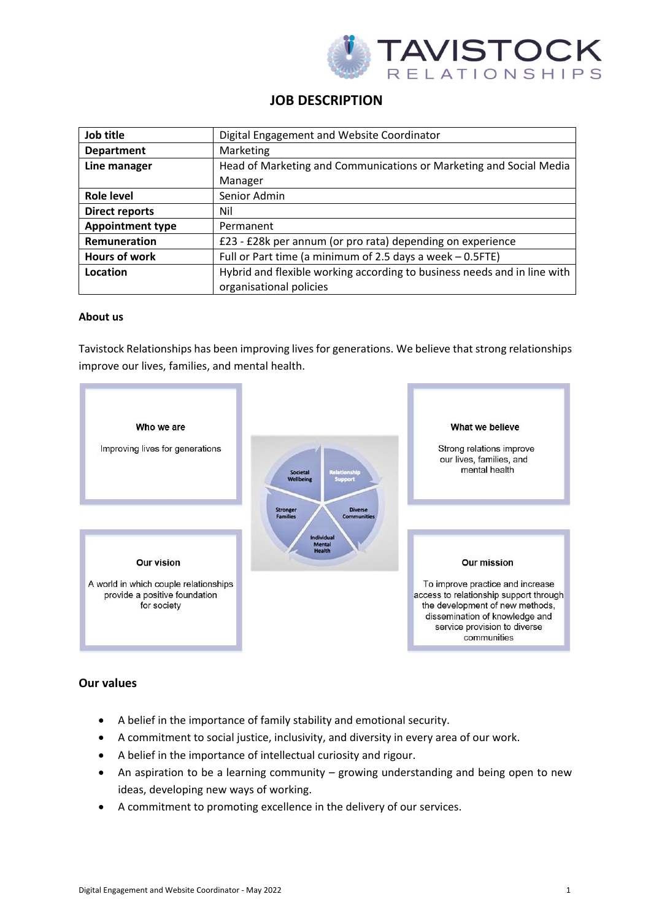

# **JOB DESCRIPTION**

| Job title               | Digital Engagement and Website Coordinator                               |
|-------------------------|--------------------------------------------------------------------------|
| <b>Department</b>       | Marketing                                                                |
| Line manager            | Head of Marketing and Communications or Marketing and Social Media       |
|                         | Manager                                                                  |
| Role level              | Senior Admin                                                             |
| <b>Direct reports</b>   | Nil                                                                      |
| <b>Appointment type</b> | Permanent                                                                |
| Remuneration            | £23 - £28k per annum (or pro rata) depending on experience               |
| <b>Hours of work</b>    | Full or Part time (a minimum of 2.5 days a week $-0.5$ FTE)              |
| Location                | Hybrid and flexible working according to business needs and in line with |
|                         | organisational policies                                                  |

#### **About us**

Tavistock Relationships has been improving lives for generations. We believe that strong relationships improve our lives, families, and mental health.



# **Our values**

- A belief in the importance of family stability and emotional security.
- A commitment to social justice, inclusivity, and diversity in every area of our work.
- A belief in the importance of intellectual curiosity and rigour.
- An aspiration to be a learning community growing understanding and being open to new ideas, developing new ways of working.
- A commitment to promoting excellence in the delivery of our services.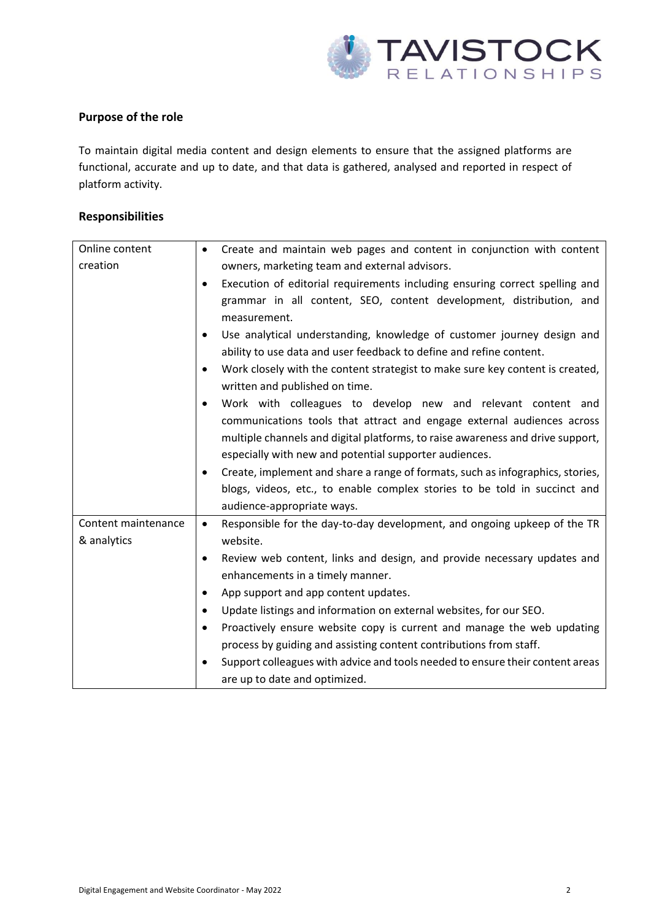

## **Purpose of the role**

To maintain digital media content and design elements to ensure that the assigned platforms are functional, accurate and up to date, and that data is gathered, analysed and reported in respect of platform activity.

## **Responsibilities**

| Online content      | Create and maintain web pages and content in conjunction with content<br>$\bullet$          |
|---------------------|---------------------------------------------------------------------------------------------|
| creation            | owners, marketing team and external advisors.                                               |
|                     | Execution of editorial requirements including ensuring correct spelling and<br>$\bullet$    |
|                     | grammar in all content, SEO, content development, distribution, and                         |
|                     | measurement.                                                                                |
|                     | Use analytical understanding, knowledge of customer journey design and<br>$\bullet$         |
|                     | ability to use data and user feedback to define and refine content.                         |
|                     | Work closely with the content strategist to make sure key content is created,<br>$\bullet$  |
|                     | written and published on time.                                                              |
|                     | Work with colleagues to develop new and relevant content and<br>$\bullet$                   |
|                     | communications tools that attract and engage external audiences across                      |
|                     | multiple channels and digital platforms, to raise awareness and drive support,              |
|                     | especially with new and potential supporter audiences.                                      |
|                     | Create, implement and share a range of formats, such as infographics, stories,<br>$\bullet$ |
|                     | blogs, videos, etc., to enable complex stories to be told in succinct and                   |
|                     | audience-appropriate ways.                                                                  |
| Content maintenance | Responsible for the day-to-day development, and ongoing upkeep of the TR<br>$\bullet$       |
| & analytics         | website.                                                                                    |
|                     | Review web content, links and design, and provide necessary updates and<br>$\bullet$        |
|                     | enhancements in a timely manner.                                                            |
|                     | App support and app content updates.<br>$\bullet$                                           |
|                     | Update listings and information on external websites, for our SEO.<br>$\bullet$             |
|                     | Proactively ensure website copy is current and manage the web updating<br>$\bullet$         |
|                     | process by guiding and assisting content contributions from staff.                          |
|                     | Support colleagues with advice and tools needed to ensure their content areas<br>$\bullet$  |
|                     | are up to date and optimized.                                                               |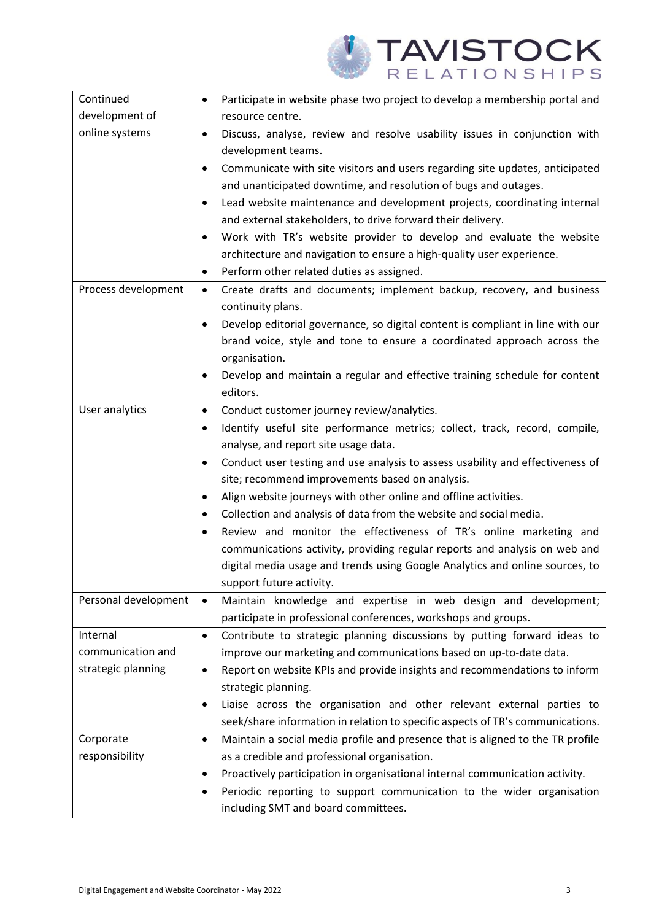

| Continued            | Participate in website phase two project to develop a membership portal and<br>$\bullet$    |
|----------------------|---------------------------------------------------------------------------------------------|
| development of       | resource centre.                                                                            |
| online systems       | Discuss, analyse, review and resolve usability issues in conjunction with<br>$\bullet$      |
|                      | development teams.                                                                          |
|                      | Communicate with site visitors and users regarding site updates, anticipated<br>$\bullet$   |
|                      | and unanticipated downtime, and resolution of bugs and outages.                             |
|                      | Lead website maintenance and development projects, coordinating internal<br>$\bullet$       |
|                      | and external stakeholders, to drive forward their delivery.                                 |
|                      | Work with TR's website provider to develop and evaluate the website<br>$\bullet$            |
|                      | architecture and navigation to ensure a high-quality user experience.                       |
|                      | Perform other related duties as assigned.<br>$\bullet$                                      |
| Process development  | Create drafts and documents; implement backup, recovery, and business<br>$\bullet$          |
|                      | continuity plans.                                                                           |
|                      | Develop editorial governance, so digital content is compliant in line with our<br>$\bullet$ |
|                      | brand voice, style and tone to ensure a coordinated approach across the                     |
|                      | organisation.                                                                               |
|                      | Develop and maintain a regular and effective training schedule for content<br>$\bullet$     |
|                      | editors.                                                                                    |
| User analytics       | Conduct customer journey review/analytics.<br>$\bullet$                                     |
|                      | Identify useful site performance metrics; collect, track, record, compile,<br>$\bullet$     |
|                      | analyse, and report site usage data.                                                        |
|                      | Conduct user testing and use analysis to assess usability and effectiveness of<br>$\bullet$ |
|                      | site; recommend improvements based on analysis.                                             |
|                      | Align website journeys with other online and offline activities.<br>$\bullet$               |
|                      | Collection and analysis of data from the website and social media.<br>$\bullet$             |
|                      | Review and monitor the effectiveness of TR's online marketing and                           |
|                      | communications activity, providing regular reports and analysis on web and                  |
|                      | digital media usage and trends using Google Analytics and online sources, to                |
|                      | support future activity.                                                                    |
| Personal development | Maintain knowledge and expertise in web design and development;<br>$\bullet$                |
|                      | participate in professional conferences, workshops and groups.                              |
| Internal             | Contribute to strategic planning discussions by putting forward ideas to<br>$\bullet$       |
| communication and    | improve our marketing and communications based on up-to-date data.                          |
| strategic planning   | Report on website KPIs and provide insights and recommendations to inform<br>٠              |
|                      | strategic planning.                                                                         |
|                      | Liaise across the organisation and other relevant external parties to<br>$\bullet$          |
|                      | seek/share information in relation to specific aspects of TR's communications.              |
| Corporate            | Maintain a social media profile and presence that is aligned to the TR profile<br>$\bullet$ |
| responsibility       | as a credible and professional organisation.                                                |
|                      | Proactively participation in organisational internal communication activity.<br>٠           |
|                      | Periodic reporting to support communication to the wider organisation<br>٠                  |
|                      | including SMT and board committees.                                                         |